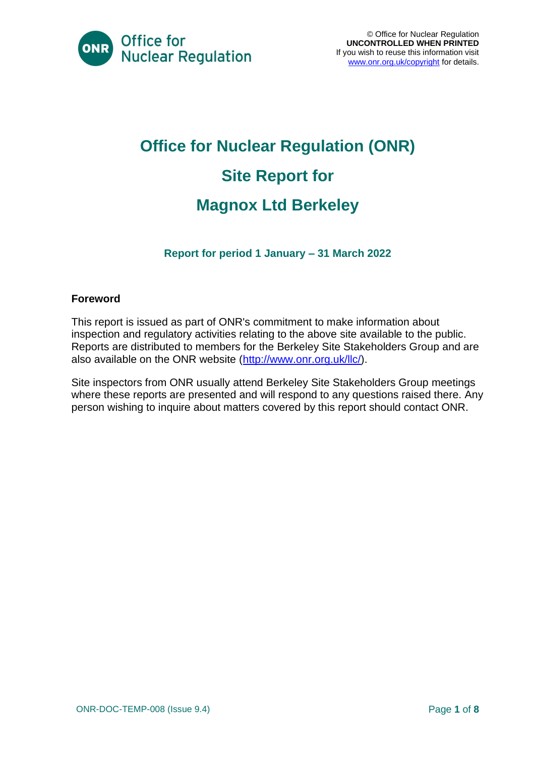

# **Office for Nuclear Regulation (ONR) Site Report for Magnox Ltd Berkeley**

**Report for period 1 January – 31 March 2022**

#### **Foreword**

This report is issued as part of ONR's commitment to make information about inspection and regulatory activities relating to the above site available to the public. Reports are distributed to members for the Berkeley Site Stakeholders Group and are also available on the ONR website [\(http://www.onr.org.uk/llc/\)](http://www.onr.org.uk/llc/).

Site inspectors from ONR usually attend Berkeley Site Stakeholders Group meetings where these reports are presented and will respond to any questions raised there. Any person wishing to inquire about matters covered by this report should contact ONR.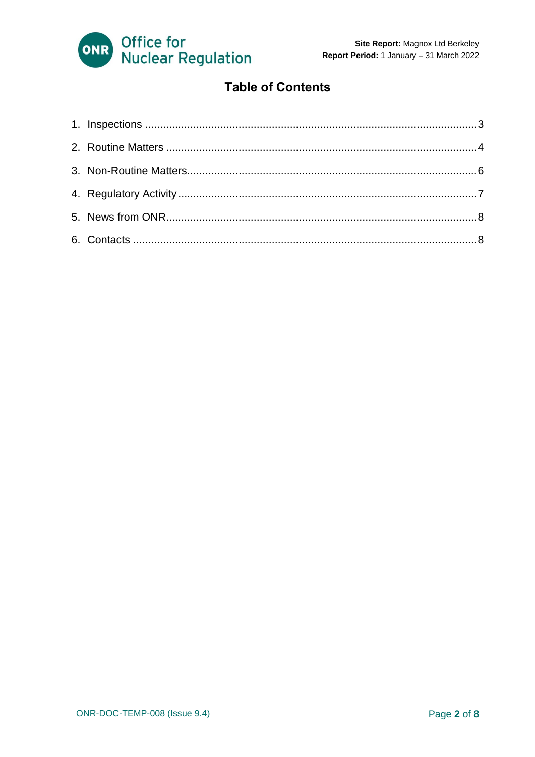

#### **Table of Contents**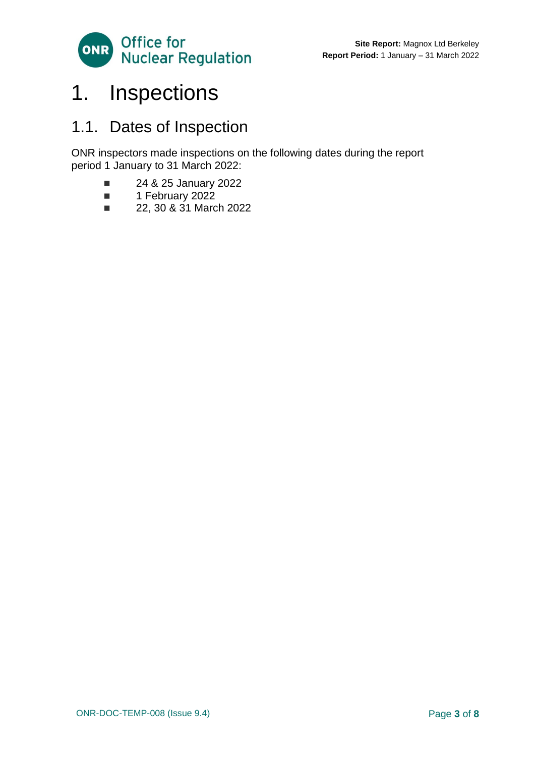

### <span id="page-2-0"></span>1. Inspections

### 1.1. Dates of Inspection

ONR inspectors made inspections on the following dates during the report period 1 January to 31 March 2022:

- 24 & 25 January 2022
- 1 February 2022
- 22, 30 & 31 March 2022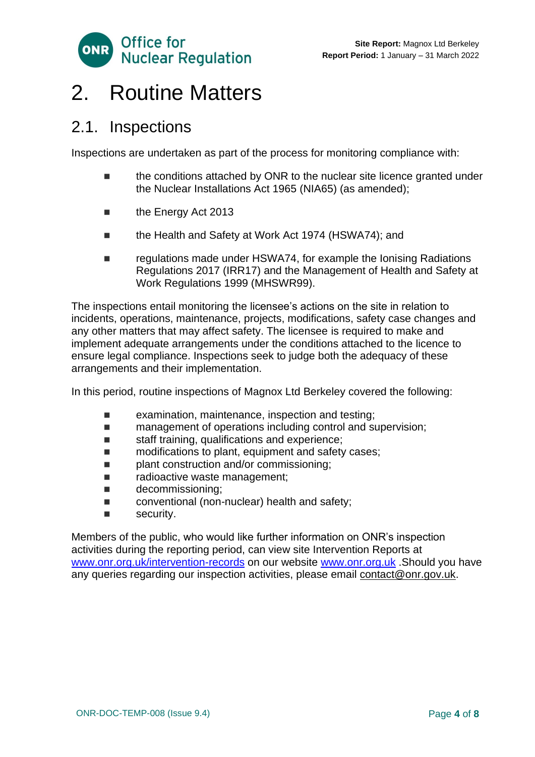

### <span id="page-3-0"></span>2. Routine Matters

#### 2.1. Inspections

Inspections are undertaken as part of the process for monitoring compliance with:

- the conditions attached by ONR to the nuclear site licence granted under the Nuclear Installations Act 1965 (NIA65) (as amended);
- the Energy Act 2013
- the Health and Safety at Work Act 1974 (HSWA74); and
- regulations made under HSWA74, for example the Ionising Radiations Regulations 2017 (IRR17) and the Management of Health and Safety at Work Regulations 1999 (MHSWR99).

The inspections entail monitoring the licensee's actions on the site in relation to incidents, operations, maintenance, projects, modifications, safety case changes and any other matters that may affect safety. The licensee is required to make and implement adequate arrangements under the conditions attached to the licence to ensure legal compliance. Inspections seek to judge both the adequacy of these arrangements and their implementation.

In this period, routine inspections of Magnox Ltd Berkeley covered the following:

- examination, maintenance, inspection and testing;
- management of operations including control and supervision;
- staff training, qualifications and experience;
- modifications to plant, equipment and safety cases;
- plant construction and/or commissioning;
- radioactive waste management;
- decommissioning:
- conventional (non-nuclear) health and safety;
- security.

Members of the public, who would like further information on ONR's inspection activities during the reporting period, can view site Intervention Reports at [www.onr.org.uk/intervention-records](http://www.onr.org.uk./intervention-records) on our website [www.onr.org.uk](http://www.onr.org.uk/) .Should you have any queries regarding our inspection activities, please email [contact@onr.gov.uk.](mailto:contact@onr.gov.uk)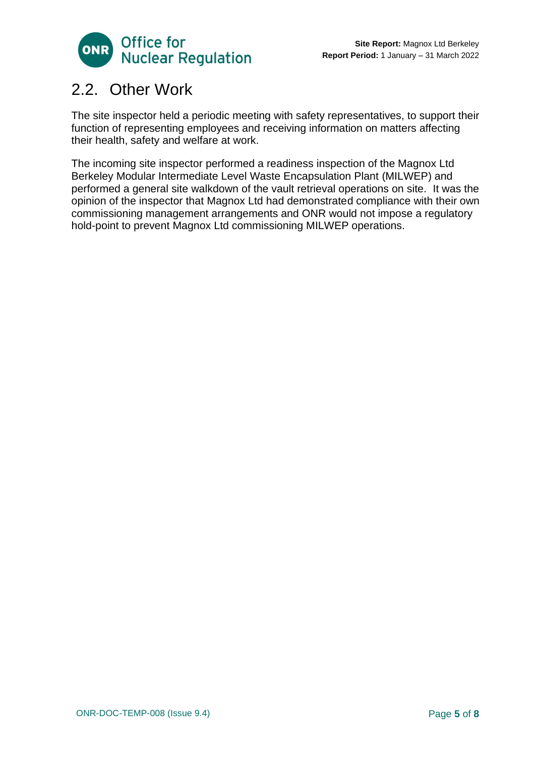

### 2.2. Other Work

The site inspector held a periodic meeting with safety representatives, to support their function of representing employees and receiving information on matters affecting their health, safety and welfare at work.

The incoming site inspector performed a readiness inspection of the Magnox Ltd Berkeley Modular Intermediate Level Waste Encapsulation Plant (MILWEP) and performed a general site walkdown of the vault retrieval operations on site. It was the opinion of the inspector that Magnox Ltd had demonstrated compliance with their own commissioning management arrangements and ONR would not impose a regulatory hold-point to prevent Magnox Ltd commissioning MILWEP operations.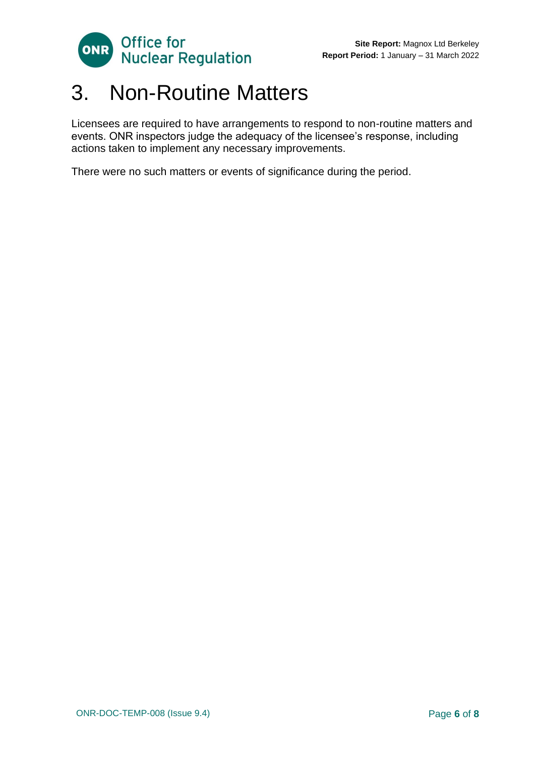

### <span id="page-5-0"></span>3. Non-Routine Matters

Licensees are required to have arrangements to respond to non-routine matters and events. ONR inspectors judge the adequacy of the licensee's response, including actions taken to implement any necessary improvements.

There were no such matters or events of significance during the period.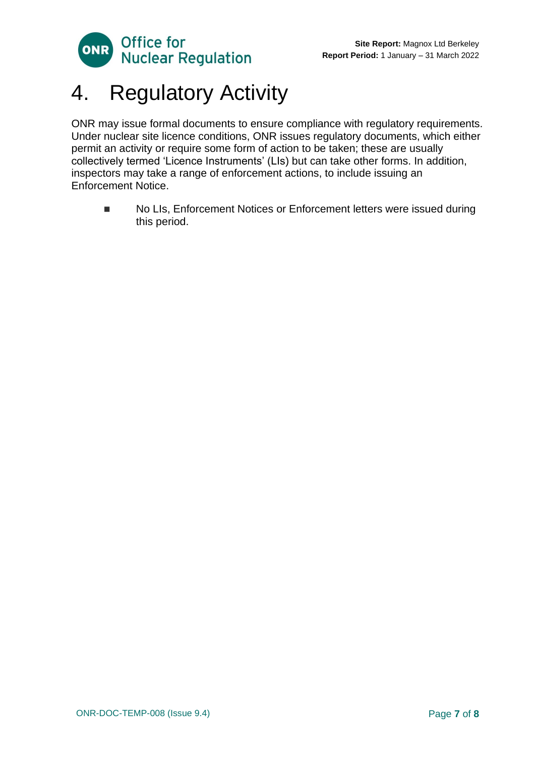

## <span id="page-6-0"></span>4. Regulatory Activity

ONR may issue formal documents to ensure compliance with regulatory requirements. Under nuclear site licence conditions, ONR issues regulatory documents, which either permit an activity or require some form of action to be taken; these are usually collectively termed 'Licence Instruments' (LIs) but can take other forms. In addition, inspectors may take a range of enforcement actions, to include issuing an Enforcement Notice.

■ No LIs, Enforcement Notices or Enforcement letters were issued during this period.